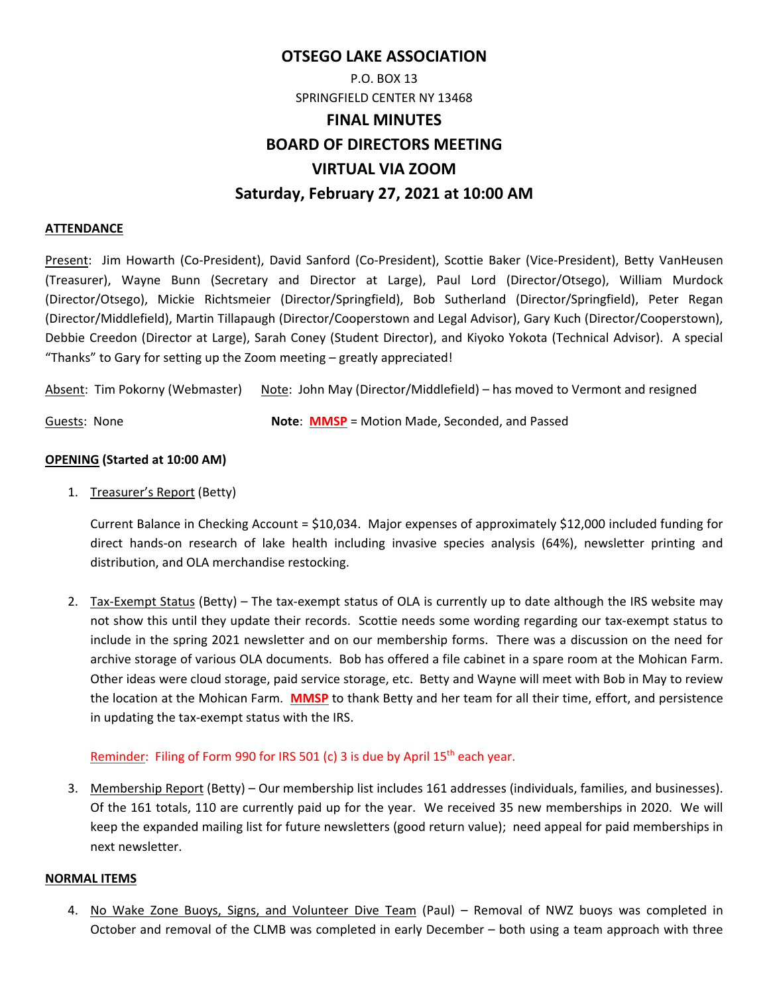## **OTSEGO LAKE ASSOCIATION**

# P.O. BOX 13 SPRINGFIELD CENTER NY 13468 **FINAL MINUTES BOARD OF DIRECTORS MEETING VIRTUAL VIA ZOOM Saturday, February 27, 2021 at 10:00 AM**

#### **ATTENDANCE**

Present: Jim Howarth (Co‐President), David Sanford (Co‐President), Scottie Baker (Vice‐President), Betty VanHeusen (Treasurer), Wayne Bunn (Secretary and Director at Large), Paul Lord (Director/Otsego), William Murdock (Director/Otsego), Mickie Richtsmeier (Director/Springfield), Bob Sutherland (Director/Springfield), Peter Regan (Director/Middlefield), Martin Tillapaugh (Director/Cooperstown and Legal Advisor), Gary Kuch (Director/Cooperstown), Debbie Creedon (Director at Large), Sarah Coney (Student Director), and Kiyoko Yokota (Technical Advisor). A special "Thanks" to Gary for setting up the Zoom meeting – greatly appreciated!

Absent: Tim Pokorny (Webmaster) Note: John May (Director/Middlefield) – has moved to Vermont and resigned

Guests: None **Note**: **MMSP** = Motion Made, Seconded, and Passed

#### **OPENING (Started at 10:00 AM)**

1. Treasurer's Report (Betty)

Current Balance in Checking Account = \$10,034. Major expenses of approximately \$12,000 included funding for direct hands‐on research of lake health including invasive species analysis (64%), newsletter printing and distribution, and OLA merchandise restocking.

2. Tax‐Exempt Status (Betty) – The tax‐exempt status of OLA is currently up to date although the IRS website may not show this until they update their records. Scottie needs some wording regarding our tax-exempt status to include in the spring 2021 newsletter and on our membership forms. There was a discussion on the need for archive storage of various OLA documents. Bob has offered a file cabinet in a spare room at the Mohican Farm. Other ideas were cloud storage, paid service storage, etc. Betty and Wayne will meet with Bob in May to review the location at the Mohican Farm. **MMSP** to thank Betty and her team for all their time, effort, and persistence in updating the tax‐exempt status with the IRS.

#### Reminder: Filing of Form 990 for IRS 501 (c) 3 is due by April 15<sup>th</sup> each year.

3. Membership Report (Betty) – Our membership list includes 161 addresses (individuals, families, and businesses). Of the 161 totals, 110 are currently paid up for the year. We received 35 new memberships in 2020. We will keep the expanded mailing list for future newsletters (good return value); need appeal for paid memberships in next newsletter.

#### **NORMAL ITEMS**

4. No Wake Zone Buoys, Signs, and Volunteer Dive Team (Paul) – Removal of NWZ buoys was completed in October and removal of the CLMB was completed in early December – both using a team approach with three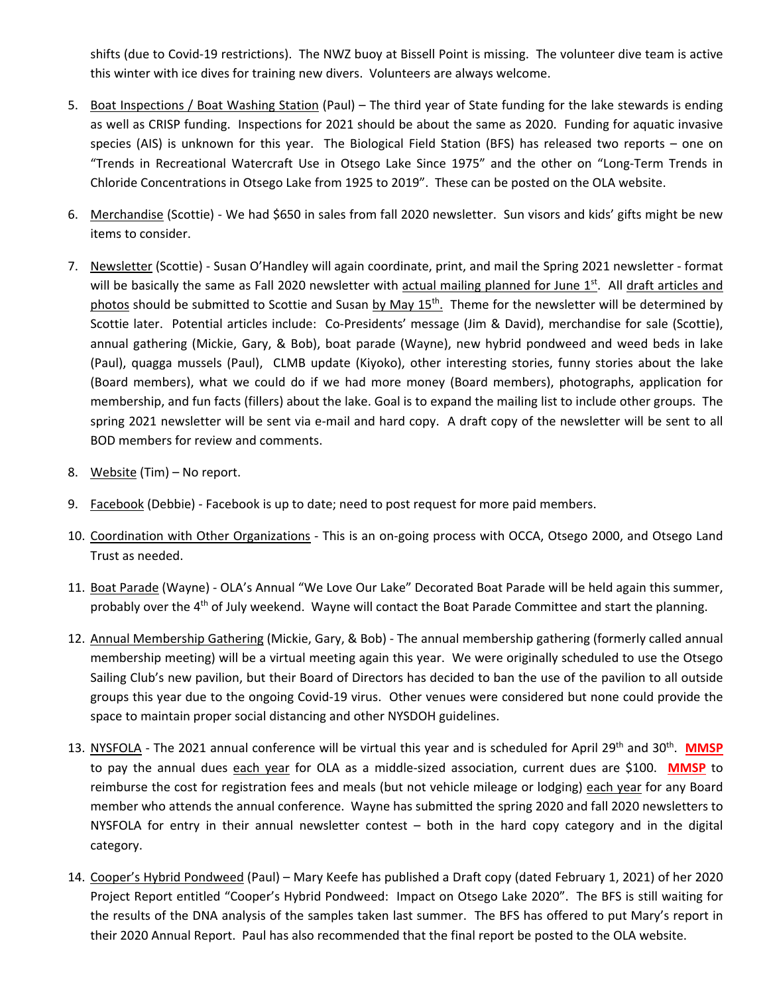shifts (due to Covid‐19 restrictions). The NWZ buoy at Bissell Point is missing. The volunteer dive team is active this winter with ice dives for training new divers. Volunteers are always welcome.

- 5. Boat Inspections / Boat Washing Station (Paul) The third year of State funding for the lake stewards is ending as well as CRISP funding. Inspections for 2021 should be about the same as 2020. Funding for aquatic invasive species (AIS) is unknown for this year. The Biological Field Station (BFS) has released two reports - one on "Trends in Recreational Watercraft Use in Otsego Lake Since 1975" and the other on "Long‐Term Trends in Chloride Concentrations in Otsego Lake from 1925 to 2019". These can be posted on the OLA website.
- 6. Merchandise (Scottie) ‐ We had \$650 in sales from fall 2020 newsletter. Sun visors and kids' gifts might be new items to consider.
- 7. Newsletter (Scottie) ‐ Susan O'Handley will again coordinate, print, and mail the Spring 2021 newsletter ‐ format will be basically the same as Fall 2020 newsletter with actual mailing planned for June  $1<sup>st</sup>$ . All draft articles and photos should be submitted to Scottie and Susan by May  $15<sup>th</sup>$ . Theme for the newsletter will be determined by Scottie later. Potential articles include: Co-Presidents' message (Jim & David), merchandise for sale (Scottie), annual gathering (Mickie, Gary, & Bob), boat parade (Wayne), new hybrid pondweed and weed beds in lake (Paul), quagga mussels (Paul), CLMB update (Kiyoko), other interesting stories, funny stories about the lake (Board members), what we could do if we had more money (Board members), photographs, application for membership, and fun facts (fillers) about the lake. Goal is to expand the mailing list to include other groups. The spring 2021 newsletter will be sent via e-mail and hard copy. A draft copy of the newsletter will be sent to all BOD members for review and comments.
- 8. Website (Tim) No report.
- 9. Facebook (Debbie) Facebook is up to date; need to post request for more paid members.
- 10. Coordination with Other Organizations ‐ This is an on‐going process with OCCA, Otsego 2000, and Otsego Land Trust as needed.
- 11. Boat Parade (Wayne) ‐ OLA's Annual "We Love Our Lake" Decorated Boat Parade will be held again this summer, probably over the  $4<sup>th</sup>$  of July weekend. Wayne will contact the Boat Parade Committee and start the planning.
- 12. Annual Membership Gathering (Mickie, Gary, & Bob) ‐ The annual membership gathering (formerly called annual membership meeting) will be a virtual meeting again this year. We were originally scheduled to use the Otsego Sailing Club's new pavilion, but their Board of Directors has decided to ban the use of the pavilion to all outside groups this year due to the ongoing Covid‐19 virus. Other venues were considered but none could provide the space to maintain proper social distancing and other NYSDOH guidelines.
- 13. NYSFOLA The 2021 annual conference will be virtual this year and is scheduled for April 29<sup>th</sup> and 30<sup>th</sup>. **MMSP** to pay the annual dues each year for OLA as a middle‐sized association, current dues are \$100. **MMSP** to reimburse the cost for registration fees and meals (but not vehicle mileage or lodging) each year for any Board member who attends the annual conference. Wayne has submitted the spring 2020 and fall 2020 newsletters to NYSFOLA for entry in their annual newsletter contest  $-$  both in the hard copy category and in the digital category.
- 14. Cooper's Hybrid Pondweed (Paul) Mary Keefe has published a Draft copy (dated February 1, 2021) of her 2020 Project Report entitled "Cooper's Hybrid Pondweed: Impact on Otsego Lake 2020". The BFS is still waiting for the results of the DNA analysis of the samples taken last summer. The BFS has offered to put Mary's report in their 2020 Annual Report. Paul has also recommended that the final report be posted to the OLA website.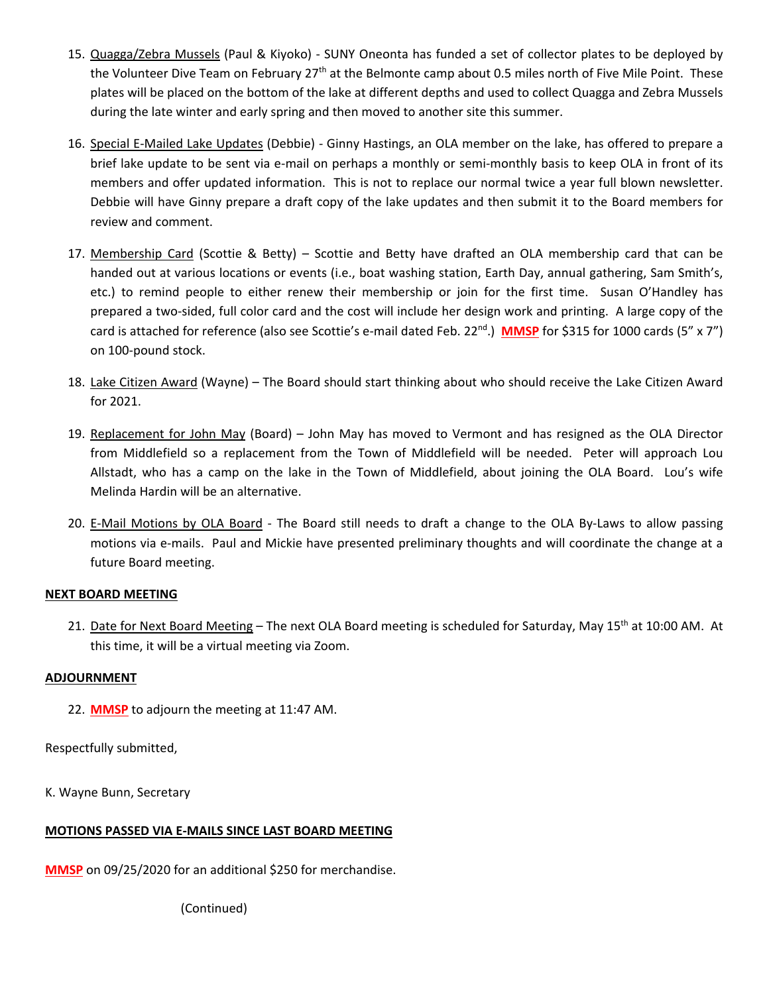- 15. Quagga/Zebra Mussels (Paul & Kiyoko) SUNY Oneonta has funded a set of collector plates to be deployed by the Volunteer Dive Team on February 27<sup>th</sup> at the Belmonte camp about 0.5 miles north of Five Mile Point. These plates will be placed on the bottom of the lake at different depths and used to collect Quagga and Zebra Mussels during the late winter and early spring and then moved to another site this summer.
- 16. Special E‐Mailed Lake Updates (Debbie) ‐ Ginny Hastings, an OLA member on the lake, has offered to prepare a brief lake update to be sent via e‐mail on perhaps a monthly or semi‐monthly basis to keep OLA in front of its members and offer updated information. This is not to replace our normal twice a year full blown newsletter. Debbie will have Ginny prepare a draft copy of the lake updates and then submit it to the Board members for review and comment.
- 17. Membership Card (Scottie & Betty) Scottie and Betty have drafted an OLA membership card that can be handed out at various locations or events (i.e., boat washing station, Earth Day, annual gathering, Sam Smith's, etc.) to remind people to either renew their membership or join for the first time. Susan O'Handley has prepared a two‐sided, full color card and the cost will include her design work and printing. A large copy of the card is attached for reference (also see Scottie's e-mail dated Feb. 22<sup>nd</sup>.) **MMSP** for \$315 for 1000 cards (5" x 7") on 100‐pound stock.
- 18. Lake Citizen Award (Wayne) The Board should start thinking about who should receive the Lake Citizen Award for 2021.
- 19. Replacement for John May (Board) John May has moved to Vermont and has resigned as the OLA Director from Middlefield so a replacement from the Town of Middlefield will be needed. Peter will approach Lou Allstadt, who has a camp on the lake in the Town of Middlefield, about joining the OLA Board. Lou's wife Melinda Hardin will be an alternative.
- 20. E-Mail Motions by OLA Board The Board still needs to draft a change to the OLA By-Laws to allow passing motions via e‐mails. Paul and Mickie have presented preliminary thoughts and will coordinate the change at a future Board meeting.

#### **NEXT BOARD MEETING**

21. Date for Next Board Meeting – The next OLA Board meeting is scheduled for Saturday, May 15<sup>th</sup> at 10:00 AM. At this time, it will be a virtual meeting via Zoom.

#### **ADJOURNMENT**

22. **MMSP** to adjourn the meeting at 11:47 AM.

Respectfully submitted,

K. Wayne Bunn, Secretary

#### **MOTIONS PASSED VIA E‐MAILS SINCE LAST BOARD MEETING**

**MMSP** on 09/25/2020 for an additional \$250 for merchandise.

 (Continued)